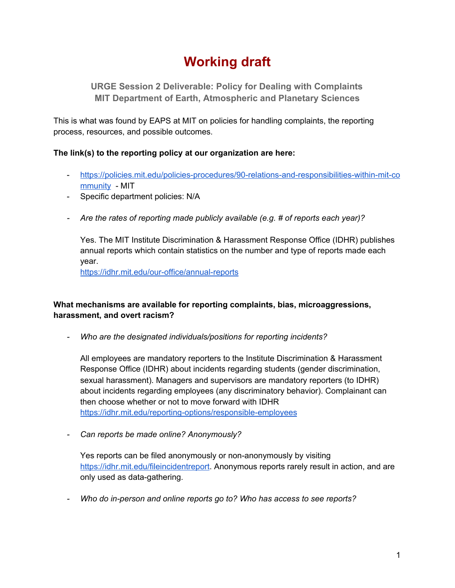# **Working draft**

**URGE Session 2 Deliverable: Policy for Dealing with Complaints MIT Department of Earth, Atmospheric and Planetary Sciences**

This is what was found by EAPS at MIT on policies for handling complaints, the reporting process, resources, and possible outcomes.

## **The link(s) to the reporting policy at our organization are here:**

- [https://policies.mit.edu/policies-procedures/90-relations-and-responsibilities-within-mit-co](https://policies.mit.edu/policies-procedures/90-relations-and-responsibilities-within-mit-community) [mmunity](https://policies.mit.edu/policies-procedures/90-relations-and-responsibilities-within-mit-community) - MIT
- Specific department policies: N/A
- *- Are the rates of reporting made publicly available (e.g. # of reports each year)?*

Yes. The MIT Institute Discrimination & Harassment Response Office (IDHR) publishes annual reports which contain statistics on the number and type of reports made each year.

<https://idhr.mit.edu/our-office/annual-reports>

## **What mechanisms are available for reporting complaints, bias, microaggressions, harassment, and overt racism?**

*- Who are the designated individuals/positions for reporting incidents?*

All employees are mandatory reporters to the Institute Discrimination & Harassment Response Office (IDHR) about incidents regarding students (gender discrimination, sexual harassment). Managers and supervisors are mandatory reporters (to IDHR) about incidents regarding employees (any discriminatory behavior). Complainant can then choose whether or not to move forward with IDHR <https://idhr.mit.edu/reporting-options/responsible-employees>

*- Can reports be made online? Anonymously?*

Yes reports can be filed anonymously or non-anonymously by visiting <https://idhr.mit.edu/fileincidentreport>. Anonymous reports rarely result in action, and are only used as data-gathering.

*- Who do in-person and online reports go to? Who has access to see reports?*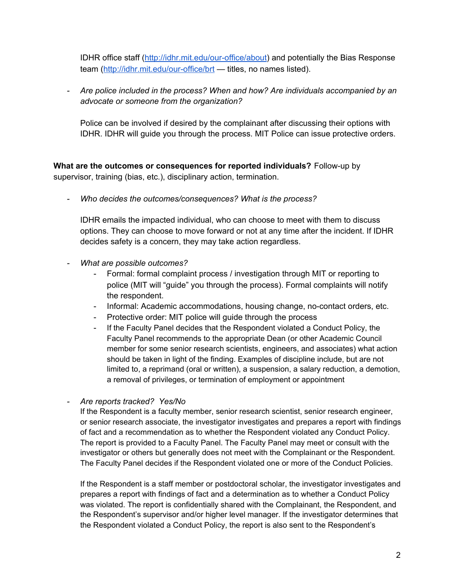IDHR office staff (<http://idhr.mit.edu/our-office/about>) and potentially the Bias Response team (<http://idhr.mit.edu/our-office/brt> - titles, no names listed).

*- Are police included in the process? When and how? Are individuals accompanied by an advocate or someone from the organization?*

Police can be involved if desired by the complainant after discussing their options with IDHR. IDHR will guide you through the process. MIT Police can issue protective orders.

**What are the outcomes or consequences for reported individuals?** Follow-up by supervisor, training (bias, etc.), disciplinary action, termination.

*- Who decides the outcomes/consequences? What is the process?*

IDHR emails the impacted individual, who can choose to meet with them to discuss options. They can choose to move forward or not at any time after the incident. If IDHR decides safety is a concern, they may take action regardless.

- *- What are possible outcomes?*
	- Formal: formal complaint process / investigation through MIT or reporting to police (MIT will "guide" you through the process). Formal complaints will notify the respondent.
	- Informal: Academic accommodations, housing change, no-contact orders, etc.
	- Protective order: MIT police will guide through the process
	- If the Faculty Panel decides that the Respondent violated a Conduct Policy, the Faculty Panel recommends to the appropriate Dean (or other Academic Council member for some senior research scientists, engineers, and associates) what action should be taken in light of the finding. Examples of discipline include, but are not limited to, a reprimand (oral or written), a suspension, a salary reduction, a demotion, a removal of privileges, or termination of employment or appointment

*- Are reports tracked? Yes/No*

If the Respondent is a faculty member, senior research scientist, senior research engineer, or senior research associate, the investigator investigates and prepares a report with findings of fact and a recommendation as to whether the Respondent violated any Conduct Policy. The report is provided to a Faculty Panel. The Faculty Panel may meet or consult with the investigator or others but generally does not meet with the Complainant or the Respondent. The Faculty Panel decides if the Respondent violated one or more of the Conduct Policies.

If the Respondent is a staff member or postdoctoral scholar, the investigator investigates and prepares a report with findings of fact and a determination as to whether a Conduct Policy was violated. The report is confidentially shared with the Complainant, the Respondent, and the Respondent's supervisor and/or higher level manager. If the investigator determines that the Respondent violated a Conduct Policy, the report is also sent to the Respondent's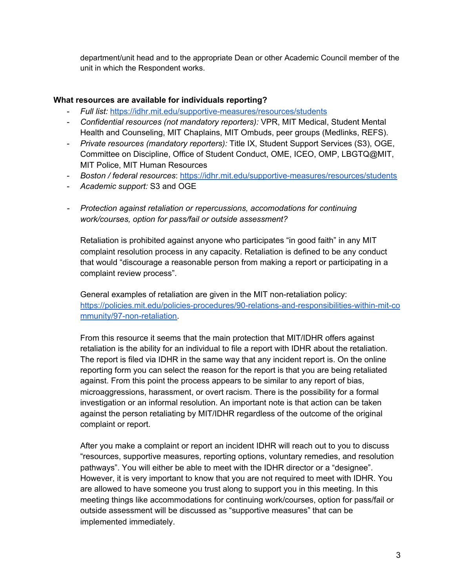department/unit head and to the appropriate Dean or other Academic Council member of the unit in which the Respondent works.

#### **What resources are available for individuals reporting?**

- *Full list:* <https://idhr.mit.edu/supportive-measures/resources/students>
- *Confidential resources (not mandatory reporters):* VPR, MIT Medical, Student Mental Health and Counseling, MIT Chaplains, MIT Ombuds, peer groups (Medlinks, REFS).
- *Private resources (mandatory reporters):* Title IX, Student Support Services (S3), OGE, Committee on Discipline, Office of Student Conduct, OME, ICEO, OMP, LBGTQ@MIT, MIT Police, MIT Human Resources
- *Boston / federal resources*: <https://idhr.mit.edu/supportive-measures/resources/students>
- *Academic support:* S3 and OGE
- *- Protection against retaliation or repercussions, accomodations for continuing work/courses, option for pass/fail or outside assessment?*

Retaliation is prohibited against anyone who participates "in good faith" in any MIT complaint resolution process in any capacity. Retaliation is defined to be any conduct that would "discourage a reasonable person from making a report or participating in a complaint review process".

General examples of retaliation are given in the MIT non-retaliation policy: [https://policies.mit.edu/policies-procedures/90-relations-and-responsibilities-within-mit-co](https://policies.mit.edu/policies-procedures/90-relations-and-responsibilities-within-mit-community/97-non-retaliation) [mmunity/97-non-retaliation](https://policies.mit.edu/policies-procedures/90-relations-and-responsibilities-within-mit-community/97-non-retaliation).

From this resource it seems that the main protection that MIT/IDHR offers against retaliation is the ability for an individual to file a report with IDHR about the retaliation. The report is filed via IDHR in the same way that any incident report is. On the online reporting form you can select the reason for the report is that you are being retaliated against. From this point the process appears to be similar to any report of bias, microaggressions, harassment, or overt racism. There is the possibility for a formal investigation or an informal resolution. An important note is that action can be taken against the person retaliating by MIT/IDHR regardless of the outcome of the original complaint or report.

After you make a complaint or report an incident IDHR will reach out to you to discuss "resources, supportive measures, reporting options, voluntary remedies, and resolution pathways". You will either be able to meet with the IDHR director or a "designee". However, it is very important to know that you are not required to meet with IDHR. You are allowed to have someone you trust along to support you in this meeting. In this meeting things like accommodations for continuing work/courses, option for pass/fail or outside assessment will be discussed as "supportive measures" that can be implemented immediately.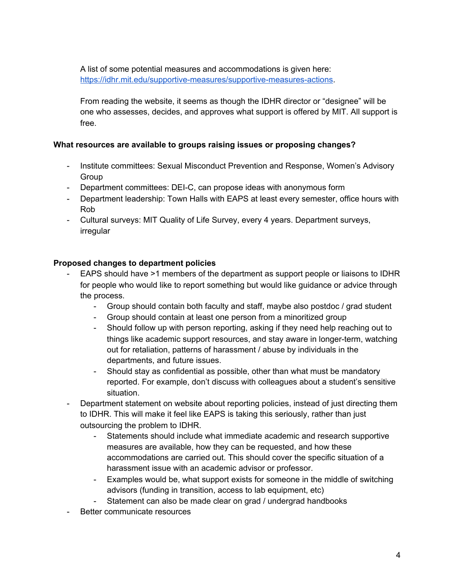A list of some potential measures and accommodations is given here: <https://idhr.mit.edu/supportive-measures/supportive-measures-actions>.

From reading the website, it seems as though the IDHR director or "designee" will be one who assesses, decides, and approves what support is offered by MIT. All support is free.

#### **What resources are available to groups raising issues or proposing changes?**

- Institute committees: Sexual Misconduct Prevention and Response, Women's Advisory **Group**
- Department committees: DEI-C, can propose ideas with anonymous form
- Department leadership: Town Halls with EAPS at least every semester, office hours with Rob
- Cultural surveys: MIT Quality of Life Survey, every 4 years. Department surveys, irregular

#### **Proposed changes to department policies**

- EAPS should have >1 members of the department as support people or liaisons to IDHR for people who would like to report something but would like guidance or advice through the process.
	- Group should contain both faculty and staff, maybe also postdoc / grad student
	- Group should contain at least one person from a minoritized group
	- Should follow up with person reporting, asking if they need help reaching out to things like academic support resources, and stay aware in longer-term, watching out for retaliation, patterns of harassment / abuse by individuals in the departments, and future issues.
	- Should stay as confidential as possible, other than what must be mandatory reported. For example, don't discuss with colleagues about a student's sensitive situation.
- Department statement on website about reporting policies, instead of just directing them to IDHR. This will make it feel like EAPS is taking this seriously, rather than just outsourcing the problem to IDHR.
	- Statements should include what immediate academic and research supportive measures are available, how they can be requested, and how these accommodations are carried out. This should cover the specific situation of a harassment issue with an academic advisor or professor.
	- Examples would be, what support exists for someone in the middle of switching advisors (funding in transition, access to lab equipment, etc)
	- Statement can also be made clear on grad / undergrad handbooks
- Better communicate resources